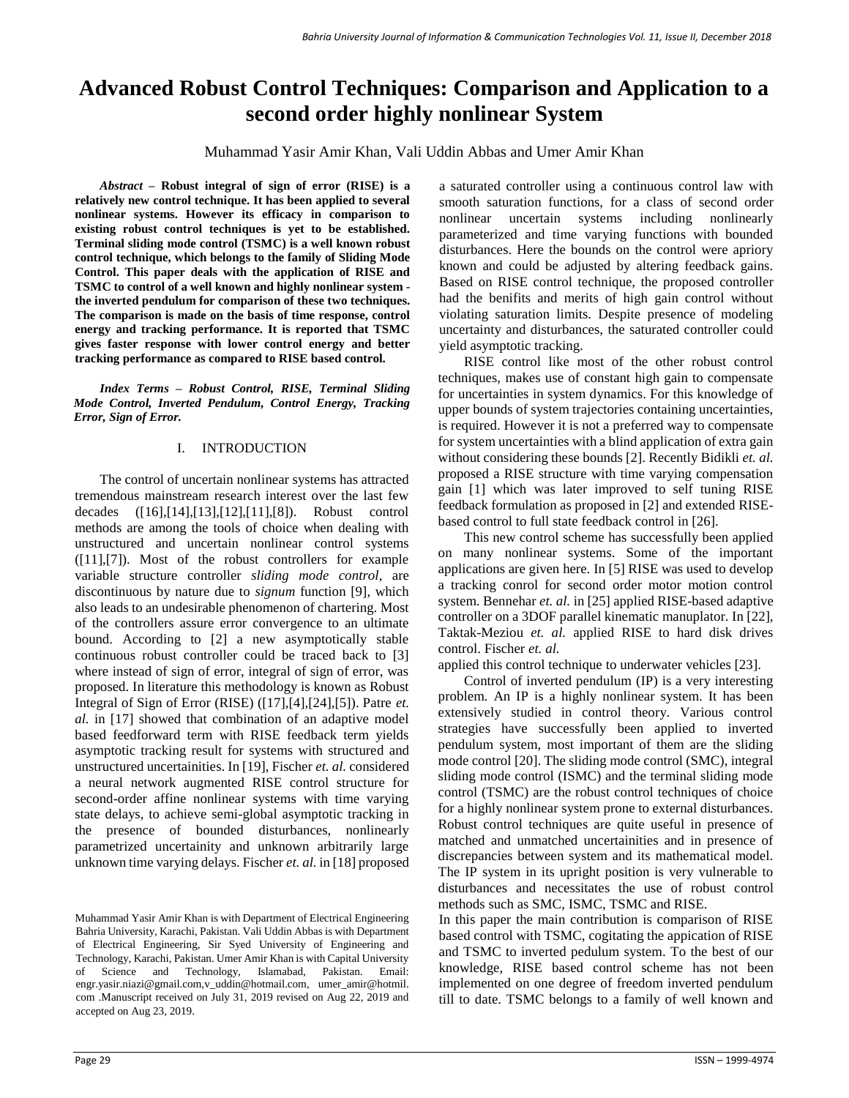# **Advanced Robust Control Techniques: Comparison and Application to a second order highly nonlinear System**

Muhammad Yasir Amir Khan, Vali Uddin Abbas and Umer Amir Khan

*Abstract –* **Robust integral of sign of error (RISE) is a relatively new control technique. It has been applied to several nonlinear systems. However its efficacy in comparison to existing robust control techniques is yet to be established. Terminal sliding mode control (TSMC) is a well known robust control technique, which belongs to the family of Sliding Mode Control. This paper deals with the application of RISE and TSMC to control of a well known and highly nonlinear system the inverted pendulum for comparison of these two techniques. The comparison is made on the basis of time response, control energy and tracking performance. It is reported that TSMC gives faster response with lower control energy and better tracking performance as compared to RISE based control.**

*Index Terms – Robust Control, RISE, Terminal Sliding Mode Control, Inverted Pendulum, Control Energy, Tracking Error, Sign of Error.*

## I. INTRODUCTION

The control of uncertain nonlinear systems has attracted tremendous mainstream research interest over the last few decades ([16],[14],[13],[12],[11],[8]). Robust control methods are among the tools of choice when dealing with unstructured and uncertain nonlinear control systems ([11],[7]). Most of the robust controllers for example variable structure controller *sliding mode control*, are discontinuous by nature due to *signum* function [9], which also leads to an undesirable phenomenon of chartering. Most of the controllers assure error convergence to an ultimate bound. According to [2] a new asymptotically stable continuous robust controller could be traced back to [3] where instead of sign of error, integral of sign of error, was proposed. In literature this methodology is known as Robust Integral of Sign of Error (RISE) ([17],[4],[24],[5]). Patre *et. al.* in [17] showed that combination of an adaptive model based feedforward term with RISE feedback term yields asymptotic tracking result for systems with structured and unstructured uncertainities. In [19], Fischer *et. al.* considered a neural network augmented RISE control structure for second-order affine nonlinear systems with time varying state delays, to achieve semi-global asymptotic tracking in the presence of bounded disturbances, nonlinearly parametrized uncertainity and unknown arbitrarily large unknown time varying delays. Fischer *et. al.* in [18] proposed

Muhammad Yasir Amir Khan is with Department of Electrical Engineering Bahria University, Karachi, Pakistan. Vali Uddin Abbas is with Department of Electrical Engineering, Sir Syed University of Engineering and Technology, Karachi, Pakistan. Umer Amir Khan is with Capital University of Science and Technology, Islamabad, Pakistan. Email: engr.yasir.niazi@gmail.com,v\_uddin@hotmail.com, umer\_amir@hotmil. com .Manuscript received on July 31, 2019 revised on Aug 22, 2019 and accepted on Aug 23, 2019.

a saturated controller using a continuous control law with smooth saturation functions, for a class of second order nonlinear uncertain systems including nonlinearly parameterized and time varying functions with bounded disturbances. Here the bounds on the control were apriory known and could be adjusted by altering feedback gains. Based on RISE control technique, the proposed controller had the benifits and merits of high gain control without violating saturation limits. Despite presence of modeling uncertainty and disturbances, the saturated controller could yield asymptotic tracking.

RISE control like most of the other robust control techniques, makes use of constant high gain to compensate for uncertainties in system dynamics. For this knowledge of upper bounds of system trajectories containing uncertainties, is required. However it is not a preferred way to compensate for system uncertainties with a blind application of extra gain without considering these bounds [2]. Recently Bidikli *et. al.*  proposed a RISE structure with time varying compensation gain [1] which was later improved to self tuning RISE feedback formulation as proposed in [2] and extended RISEbased control to full state feedback control in [26].

This new control scheme has successfully been applied on many nonlinear systems. Some of the important applications are given here. In [5] RISE was used to develop a tracking conrol for second order motor motion control system. Bennehar *et. al.* in [25] applied RISE-based adaptive controller on a 3DOF parallel kinematic manuplator. In [22], Taktak-Meziou *et. al.* applied RISE to hard disk drives control. Fischer *et. al.*

applied this control technique to underwater vehicles [23].

Control of inverted pendulum (IP) is a very interesting problem. An IP is a highly nonlinear system. It has been extensively studied in control theory. Various control strategies have successfully been applied to inverted pendulum system, most important of them are the sliding mode control [20]. The sliding mode control (SMC), integral sliding mode control (ISMC) and the terminal sliding mode control (TSMC) are the robust control techniques of choice for a highly nonlinear system prone to external disturbances. Robust control techniques are quite useful in presence of matched and unmatched uncertainities and in presence of discrepancies between system and its mathematical model. The IP system in its upright position is very vulnerable to disturbances and necessitates the use of robust control methods such as SMC, ISMC, TSMC and RISE.

In this paper the main contribution is comparison of RISE based control with TSMC, cogitating the appication of RISE and TSMC to inverted pedulum system. To the best of our knowledge, RISE based control scheme has not been implemented on one degree of freedom inverted pendulum till to date. TSMC belongs to a family of well known and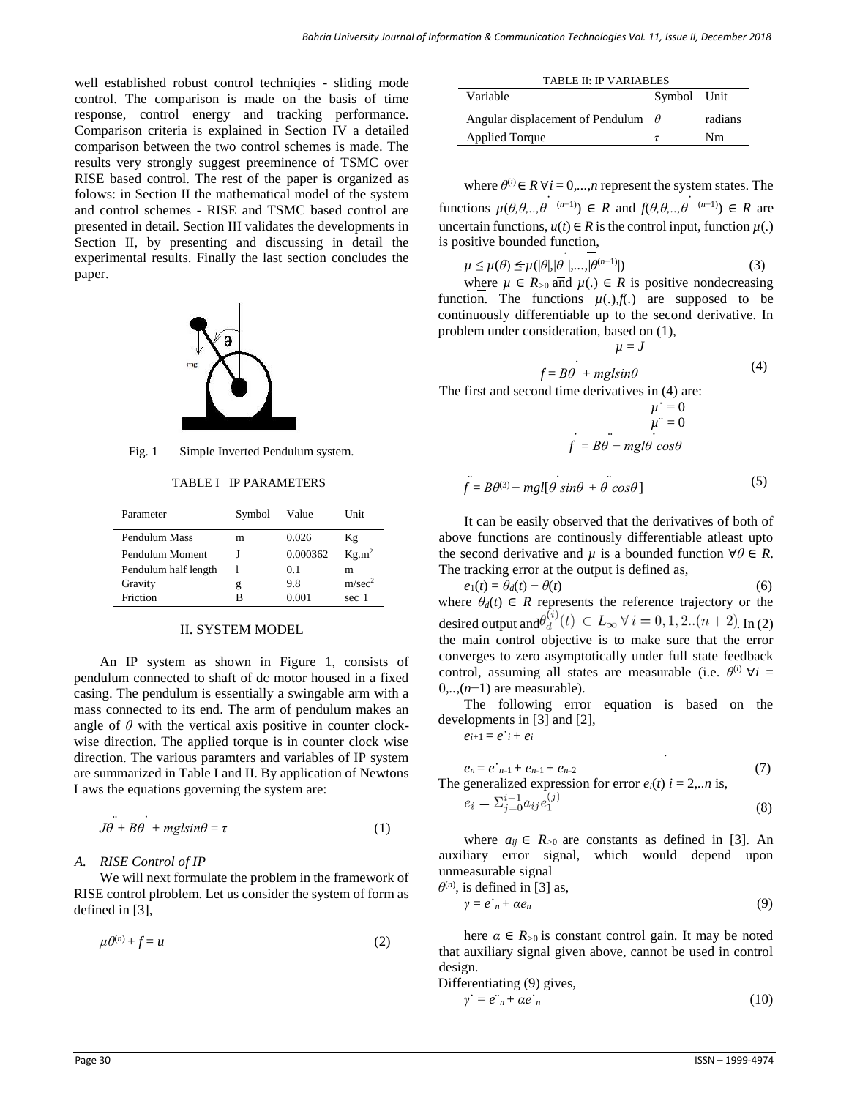well established robust control techniqies - sliding mode control. The comparison is made on the basis of time response, control energy and tracking performance. Comparison criteria is explained in Section IV a detailed comparison between the two control schemes is made. The results very strongly suggest preeminence of TSMC over RISE based control. The rest of the paper is organized as folows: in Section II the mathematical model of the system and control schemes - RISE and TSMC based control are presented in detail. Section III validates the developments in Section II, by presenting and discussing in detail the experimental results. Finally the last section concludes the paper.



Fig. 1 Simple Inverted Pendulum system.

TABLE I IP PARAMETERS

| Parameter            | Symbol | Value    | <b>Unit</b>        |
|----------------------|--------|----------|--------------------|
| Pendulum Mass        | m      | 0.026    | Κg                 |
| Pendulum Moment      |        | 0.000362 | Kg.m <sup>2</sup>  |
| Pendulum half length |        | 0.1      | m                  |
| Gravity              | g      | 9.8      | m/sec <sup>2</sup> |
| Friction             | в      | 0.001    | $sec-1$            |

### II. SYSTEM MODEL

An IP system as shown in Figure 1, consists of pendulum connected to shaft of dc motor housed in a fixed casing. The pendulum is essentially a swingable arm with a mass connected to its end. The arm of pendulum makes an angle of  $\theta$  with the vertical axis positive in counter clockwise direction. The applied torque is in counter clock wise direction. The various paramters and variables of IP system are summarized in Table I and II. By application of Newtons Laws the equations governing the system are:

$$
J\dot{\theta} + B\dot{\theta} + mgl\sin\theta = \tau \tag{1}
$$

## *A. RISE Control of IP*

We will next formulate the problem in the framework of RISE control plroblem. Let us consider the system of form as defined in [3],

$$
\mu \theta^{(n)} + f = u \tag{2}
$$

| <b>TABLE II: IP VARIABLES</b>             |  |         |
|-------------------------------------------|--|---------|
| Variable<br>Symbol Unit                   |  |         |
| Angular displacement of Pendulum $\theta$ |  | radians |
| Applied Torque                            |  | Nm      |

where  $\theta^{(i)} \in R \ \forall i = 0,...,n$  represent the system states. The functions  $\mu(\theta, \theta, \dots, \theta^{(n-1)}) \in R$  and  $f(\theta, \theta, \dots, \theta^{(n-1)}) \in R$  are uncertain functions,  $u(t) \in R$  is the control input, function  $\mu$ . is positive bounded function,

$$
\mu \leq \mu(\theta) \leq \mu(|\theta|, |\theta|, \ldots, |\theta^{(n-1)}|) \tag{3}
$$

where  $\mu \in R_{>0}$  and  $\mu(.) \in R$  is positive nondecreasing function. The functions  $\mu(.)$ , $f(.)$  are supposed to be continuously differentiable up to the second derivative. In problem under consideration, based on (1),

$$
\mu = J
$$
  

$$
f = B\theta + mgl\sin\theta
$$
 (4)

The first and second time derivatives in (4) are:

$$
\mu = 0
$$
  

$$
\mu = 0
$$
  

$$
\mu = 0
$$
  

$$
\mu = 0
$$
  

$$
\mu = 0
$$

$$
\ddot{f} = B\theta^{(3)} - mgl[\theta \sin\theta + \theta \cos\theta]
$$
 (5)

It can be easily observed that the derivatives of both of above functions are continously differentiable atleast upto the second derivative and  $\mu$  is a bounded function  $\forall \theta \in R$ . The tracking error at the output is defined as,

$$
e_1(t) = \theta_d(t) - \theta(t)
$$
\n(6)

\nwhere  $\theta_d(t) \in R$  represents the reference trajectory or the desired output and  $\theta_d^{(i)}(t) \in L_\infty \forall i = 0, 1, 2..(n+2)$ . In (2)

\nthe main control objective is to make sure that the error converges to zero asymptotically under full state feedback control, assuming all states are measurable (i.e.  $\theta^{(i)} \forall i = 0,..,(n-1)$  are measurable).

The following error equation is based on the developments in [3] and [2],

 $e^{i+1} = e^{i} + e^{i}$ 

$$
e_n = e_{n-1} + e_{n-1} + e_{n-2}
$$
 (7)  
The generalized expression for error  $e_i(t)$   $i = 2,..n$  is,  

$$
e_i = \sum_{j=0}^{i-1} a_{ij} e_1^{(j)}
$$
 (8)

*.*

where  $a_{ij} \in R_{>0}$  are constants as defined in [3]. An auxiliary error signal, which would depend upon unmeasurable signal

$$
\theta^{(n)}, \text{ is defined in [3] as,}
$$
  
\n
$$
\gamma = e^{\cdot}_{n} + \alpha e_{n}
$$
\n(9)

here  $\alpha \in R_{>0}$  is constant control gain. It may be noted that auxiliary signal given above, cannot be used in control design.

Differentiating (9) gives,  
\n
$$
\gamma' = e^{n} + \alpha e^{n}
$$
\n(10)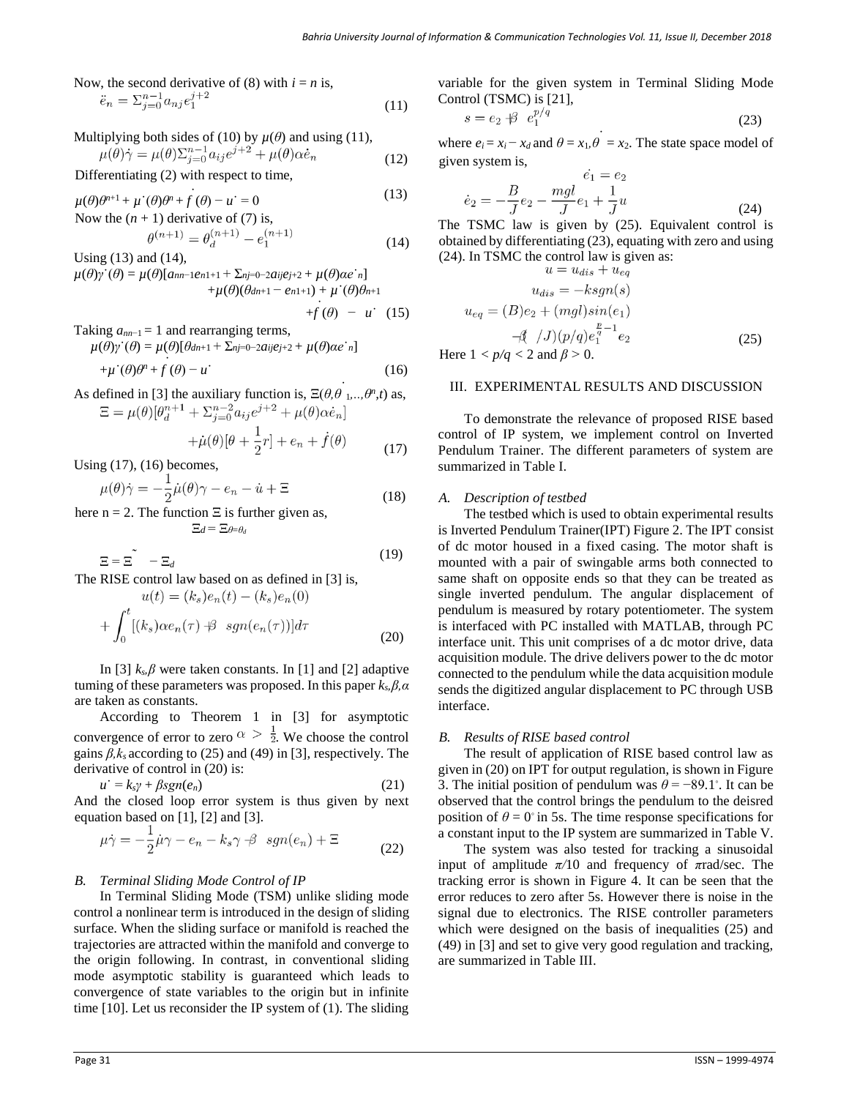Now, the second derivative of (8) with 
$$
i = n
$$
 is,  
\n
$$
\ddot{e}_n = \sum_{j=0}^{n-1} a_{nj} e_1^{j+2}
$$
\n(11)

Multiplying both sides of (10) by 
$$
\mu(\theta)
$$
 and using (11),  
\n
$$
\mu(\theta)\dot{\gamma} = \mu(\theta)\sum_{j=0}^{n-1} a_{ij}e^{j+2} + \mu(\theta)\alpha\dot{e}_n
$$
\n(12)

Differentiating (2) with respect to time,

 $\mu(\theta)\theta^{n+1} + \mu^{\cdot}(\theta)\theta^n + f(\theta) - \mu^{\cdot} = 0$ Now the  $(n + 1)$  derivative of  $(7)$  is, (13)  $\theta^{(n+1)} = \theta_d^{(n+2)} - e_1^{(n+2)}$  (14)

Using (13) and (14),  $\mu(\theta)$ *γ*<sup> $\cdot$ </sup>( $\theta$ ) =  $\mu(\theta)$ [*a*<sub>*nn*</sub>-1*e*<sub>*n*1+1</sub> +  $\sum_{nj=0}$ -2*aije*<sub>*j*+2</sub> +  $\mu(\theta)$ *αe*<sup> $\cdot$ </sup>*n*] + $\mu(\theta)(\theta_{dn+1} - e_{n1+1}) + \mu'(\theta)\theta_{n+1}$ 

$$
+f(\theta) - u \quad (15)
$$

Taking 
$$
a_{nn-1} = 1
$$
 and rearranging terms,  
\n
$$
\mu(\theta)\gamma'(\theta) = \mu(\theta)[\theta_{dn+1} + \sum_{nj=0}^{\infty} -2aije_{j+2} + \mu(\theta)ae_n]
$$
\n
$$
+\mu'(\theta)\theta^n + f(\theta) - u'
$$
\n(16)

As defined in [3] the auxiliary function is, 
$$
\Xi(\theta, \theta_1, ..., \theta^n, t)
$$
 as,  
\n
$$
\Xi = \mu(\theta) [\theta_d^{n+1} + \Sigma_{j=0}^{n-2} a_{ij} e^{j+2} + \mu(\theta) \alpha \dot{e}_n]
$$

$$
+\mu(\theta)[\theta + \frac{1}{2}r] + e_n + \dot{f}(\theta)
$$
\n(17)

Using (17), (16) becomes,

$$
\mu(\theta)\dot{\gamma} = -\frac{1}{2}\dot{\mu}(\theta)\gamma - e_n - \dot{u} + \Xi
$$
\n(18)

here  $n = 2$ . The function  $\Xi$  is further given as, Ξ*d* = Ξ*θ*=*θ<sup>d</sup>*

$$
\Xi = \Xi \qquad -\Xi_d \tag{19}
$$

The RISE control law based on as defined in [3] is,

$$
u(t) = (k_s)e_n(t) - (k_s)e_n(0)
$$

$$
+ \int_0^t [(k_s)\alpha e_n(\tau) + s\ sgn(e_n(\tau))]d\tau
$$
(20)

In [3]  $k_s$ *, β* were taken constants. In [1] and [2] adaptive tuming of these parameters was proposed. In this paper *ks,β,α*  are taken as constants.

According to Theorem 1 in [3] for asymptotic convergence of error to zero  $\alpha > \frac{1}{2}$ . We choose the control gains *β,ks* according to (25) and (49) in [3], respectively. The derivative of control in (20) is:

$$
u^{\cdot} = k_s \gamma + \beta sgn(e_n) \tag{21}
$$

And the closed loop error system is thus given by next equation based on [1], [2] and [3].

$$
\mu \dot{\gamma} = -\frac{1}{2} \dot{\mu} \gamma - e_n - k_s \gamma \nrightarrow ggn(e_n) + \Xi \tag{22}
$$

## *B. Terminal Sliding Mode Control of IP*

In Terminal Sliding Mode (TSM) unlike sliding mode control a nonlinear term is introduced in the design of sliding surface. When the sliding surface or manifold is reached the trajectories are attracted within the manifold and converge to the origin following. In contrast, in conventional sliding mode asymptotic stability is guaranteed which leads to convergence of state variables to the origin but in infinite time [10]. Let us reconsider the IP system of (1). The sliding

variable for the given system in Terminal Sliding Mode Control (TSMC) is [21],

$$
s = e_2 \nleftrightarrow e_1^{p/q} \tag{23}
$$

where  $e_i = x_i - x_d$  and  $\theta = x_1, \theta = x_2$ . The state space model of given system is,

$$
\dot{e}_1 = e_2
$$
  

$$
\dot{e}_2 = -\frac{B}{J}e_2 - \frac{mgl}{J}e_1 + \frac{1}{J}u
$$
 (24)

The TSMC law is given by (25). Equivalent control is obtained by differentiating (23), equating with zero and using (24). In TSMC the control law is given as:<br> $u = u + u + u$ 

$$
u = u_{dis} + u_{eq}
$$
  
\n
$$
u_{dis} = -ksgn(s)
$$
  
\n
$$
u_{eq} = (B)e_2 + (mgl)sin(e_1)
$$
  
\n
$$
-\beta \quad /J)(p/q)e_1^{\frac{p}{q}-1}e_2
$$
  
\n
$$
-1 < p/a < 2
$$
 and  $\beta > 0$  (25)

Here  $1 < p/q < 2$  and  $\beta > 0$ .

## III. EXPERIMENTAL RESULTS AND DISCUSSION

To demonstrate the relevance of proposed RISE based control of IP system, we implement control on Inverted Pendulum Trainer. The different parameters of system are summarized in Table I.

## *A. Description of testbed*

The testbed which is used to obtain experimental results is Inverted Pendulum Trainer(IPT) Figure 2. The IPT consist of dc motor housed in a fixed casing. The motor shaft is mounted with a pair of swingable arms both connected to same shaft on opposite ends so that they can be treated as single inverted pendulum. The angular displacement of pendulum is measured by rotary potentiometer. The system is interfaced with PC installed with MATLAB, through PC interface unit. This unit comprises of a dc motor drive, data acquisition module. The drive delivers power to the dc motor connected to the pendulum while the data acquisition module sends the digitized angular displacement to PC through USB interface.

#### *B. Results of RISE based control*

The result of application of RISE based control law as given in (20) on IPT for output regulation, is shown in Figure 3. The initial position of pendulum was  $\theta = -89.1^{\circ}$ . It can be observed that the control brings the pendulum to the deisred position of  $\theta = 0^\circ$  in 5s. The time response specifications for a constant input to the IP system are summarized in Table V.

The system was also tested for tracking a sinusoidal input of amplitude *π/*10 and frequency of *π*rad/sec. The tracking error is shown in Figure 4. It can be seen that the error reduces to zero after 5s. However there is noise in the signal due to electronics. The RISE controller parameters which were designed on the basis of inequalities (25) and (49) in [3] and set to give very good regulation and tracking, are summarized in Table III.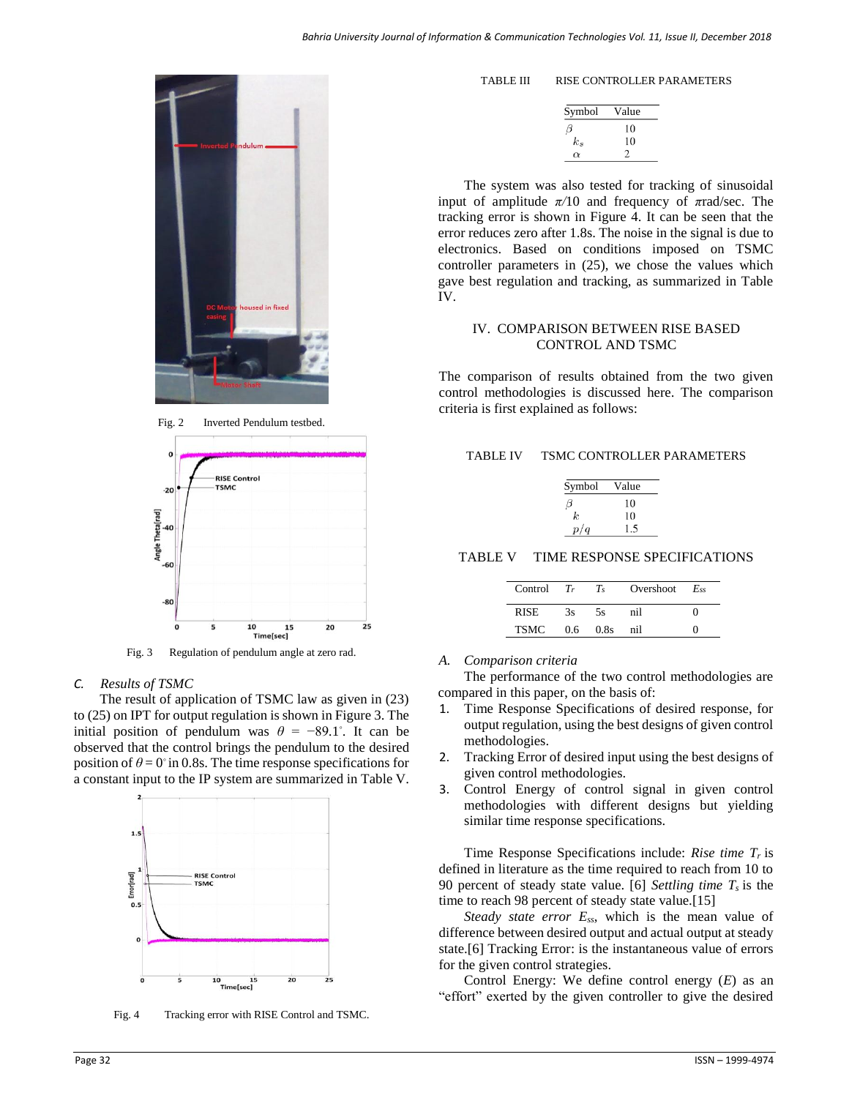

Fig. 2 Inverted Pendulum testbed.



Fig. 3 Regulation of pendulum angle at zero rad.

## *C. Results of TSMC*

The result of application of TSMC law as given in (23) to (25) on IPT for output regulation is shown in Figure 3. The initial position of pendulum was  $\theta = -89.1^{\circ}$ . It can be observed that the control brings the pendulum to the desired position of  $\theta = 0^\circ$  in 0.8s. The time response specifications for a constant input to the IP system are summarized in Table V.



Fig. 4 Tracking error with RISE Control and TSMC.

| TABLE III | RISE CONTROLLER PARAMETERS |
|-----------|----------------------------|
|           |                            |

| Symbol   | Value |
|----------|-------|
| IJ       | 10    |
| $k_{s}$  | 10    |
| $\alpha$ |       |

The system was also tested for tracking of sinusoidal input of amplitude *π/*10 and frequency of *π*rad/sec. The tracking error is shown in Figure 4. It can be seen that the error reduces zero after 1.8s. The noise in the signal is due to electronics. Based on conditions imposed on TSMC controller parameters in (25), we chose the values which gave best regulation and tracking, as summarized in Table IV.

## IV. COMPARISON BETWEEN RISE BASED CONTROL AND TSMC

The comparison of results obtained from the two given control methodologies is discussed here. The comparison criteria is first explained as follows:

## TABLE IV TSMC CONTROLLER PARAMETERS

| Symbol | Value |
|--------|-------|
|        | 10    |
| k.     | 10    |
| p/q    |       |

TABLE V TIME RESPONSE SPECIFICATIONS

| $Control$ $Tr$ |     | $T_{\rm s}$ | Overshoot $E_{ss}$ |  |
|----------------|-----|-------------|--------------------|--|
| <b>RISE</b>    | 3s  | 5s          | nil                |  |
| <b>TSMC</b>    | 0.6 | 0.8s        | nil                |  |

### *A. Comparison criteria*

The performance of the two control methodologies are compared in this paper, on the basis of:

- Time Response Specifications of desired response, for output regulation, using the best designs of given control methodologies.
- 2. Tracking Error of desired input using the best designs of given control methodologies.
- 3. Control Energy of control signal in given control methodologies with different designs but yielding similar time response specifications.

Time Response Specifications include: *Rise time Tr* is defined in literature as the time required to reach from 10 to 90 percent of steady state value. [6] *Settling time Ts* is the time to reach 98 percent of steady state value.[15]

*Steady state error Ess*, which is the mean value of difference between desired output and actual output at steady state.[6] Tracking Error: is the instantaneous value of errors for the given control strategies.

Control Energy: We define control energy (*E*) as an "effort" exerted by the given controller to give the desired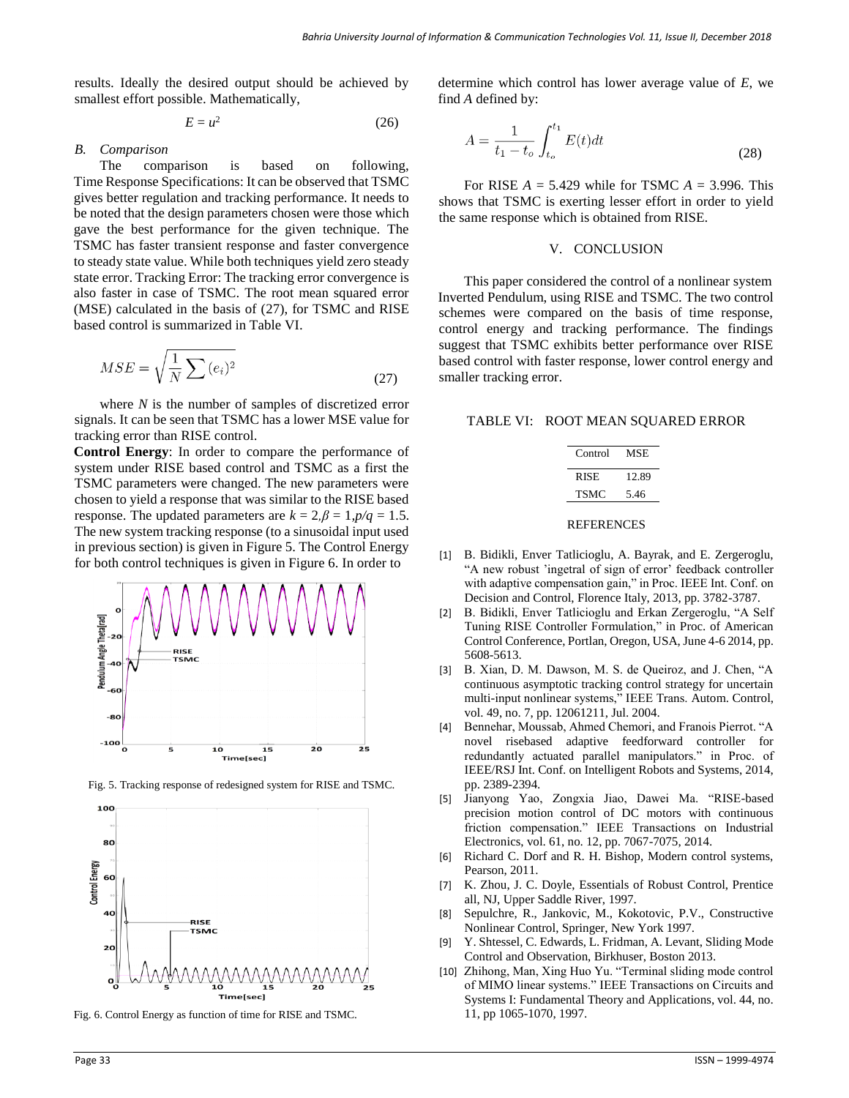results. Ideally the desired output should be achieved by smallest effort possible. Mathematically,

$$
E = u^2 \tag{26}
$$

#### *B. Comparison*

The comparison is based on following, Time Response Specifications: It can be observed that TSMC gives better regulation and tracking performance. It needs to be noted that the design parameters chosen were those which gave the best performance for the given technique. The TSMC has faster transient response and faster convergence to steady state value. While both techniques yield zero steady state error. Tracking Error: The tracking error convergence is also faster in case of TSMC. The root mean squared error (MSE) calculated in the basis of (27), for TSMC and RISE based control is summarized in Table VI.

$$
MSE = \sqrt{\frac{1}{N} \sum (e_i)^2}
$$
 (27)

where *N* is the number of samples of discretized error signals. It can be seen that TSMC has a lower MSE value for tracking error than RISE control.

**Control Energy**: In order to compare the performance of system under RISE based control and TSMC as a first the TSMC parameters were changed. The new parameters were chosen to yield a response that was similar to the RISE based response. The updated parameters are  $k = 2, \beta = 1, p/q = 1.5$ . The new system tracking response (to a sinusoidal input used in previous section) is given in Figure 5. The Control Energy for both control techniques is given in Figure 6. In order to



Fig. 5. Tracking response of redesigned system for RISE and TSMC.



Fig. 6. Control Energy as function of time for RISE and TSMC.

determine which control has lower average value of *E*, we find *A* defined by:

$$
A = \frac{1}{t_1 - t_o} \int_{t_o}^{t_1} E(t) dt
$$
 (28)

For RISE *A* = 5*.*429 while for TSMC *A* = 3*.*996. This shows that TSMC is exerting lesser effort in order to yield the same response which is obtained from RISE.

#### V. CONCLUSION

This paper considered the control of a nonlinear system Inverted Pendulum, using RISE and TSMC. The two control schemes were compared on the basis of time response, control energy and tracking performance. The findings suggest that TSMC exhibits better performance over RISE based control with faster response, lower control energy and smaller tracking error.

| Control | MSE.  |
|---------|-------|
| RISE    | 12.89 |
| TSMC    | 5.46  |

#### REFERENCES

- [1] B. Bidikli, Enver Tatlicioglu, A. Bayrak, and E. Zergeroglu, "A new robust 'ingetral of sign of error' feedback controller with adaptive compensation gain," in Proc. IEEE Int. Conf. on Decision and Control, Florence Italy, 2013, pp. 3782-3787.
- [2] B. Bidikli, Enver Tatlicioglu and Erkan Zergeroglu, "A Self Tuning RISE Controller Formulation," in Proc. of American Control Conference, Portlan, Oregon, USA, June 4-6 2014, pp. 5608-5613.
- [3] B. Xian, D. M. Dawson, M. S. de Queiroz, and J. Chen, "A continuous asymptotic tracking control strategy for uncertain multi-input nonlinear systems," IEEE Trans. Autom. Control, vol. 49, no. 7, pp. 12061211, Jul. 2004.
- [4] Bennehar, Moussab, Ahmed Chemori, and Franois Pierrot. "A novel risebased adaptive feedforward controller for redundantly actuated parallel manipulators." in Proc. of IEEE/RSJ Int. Conf. on Intelligent Robots and Systems, 2014, pp. 2389-2394.
- [5] Jianyong Yao, Zongxia Jiao, Dawei Ma. "RISE-based precision motion control of DC motors with continuous friction compensation." IEEE Transactions on Industrial Electronics, vol. 61, no. 12, pp. 7067-7075, 2014.
- [6] Richard C. Dorf and R. H. Bishop, Modern control systems, Pearson, 2011.
- [7] K. Zhou, J. C. Doyle, Essentials of Robust Control, Prentice all, NJ, Upper Saddle River, 1997.
- [8] Sepulchre, R., Jankovic, M., Kokotovic, P.V., Constructive Nonlinear Control, Springer, New York 1997.
- [9] Y. Shtessel, C. Edwards, L. Fridman, A. Levant, Sliding Mode Control and Observation, Birkhuser, Boston 2013.
- [10] Zhihong, Man, Xing Huo Yu. "Terminal sliding mode control of MIMO linear systems." IEEE Transactions on Circuits and Systems I: Fundamental Theory and Applications, vol. 44, no. 11, pp 1065-1070, 1997.